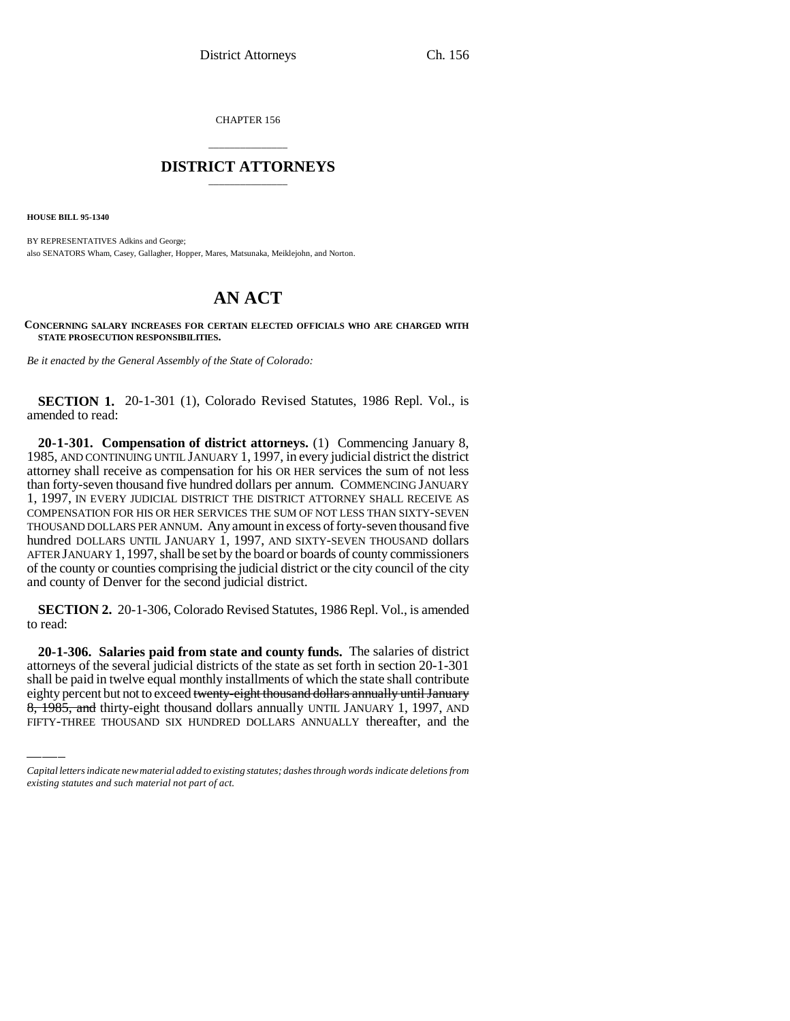CHAPTER 156

## \_\_\_\_\_\_\_\_\_\_\_\_\_\_\_ **DISTRICT ATTORNEYS** \_\_\_\_\_\_\_\_\_\_\_\_\_\_\_

**HOUSE BILL 95-1340**

BY REPRESENTATIVES Adkins and George; also SENATORS Wham, Casey, Gallagher, Hopper, Mares, Matsunaka, Meiklejohn, and Norton.

## **AN ACT**

**CONCERNING SALARY INCREASES FOR CERTAIN ELECTED OFFICIALS WHO ARE CHARGED WITH STATE PROSECUTION RESPONSIBILITIES.**

*Be it enacted by the General Assembly of the State of Colorado:*

**SECTION 1.** 20-1-301 (1), Colorado Revised Statutes, 1986 Repl. Vol., is amended to read:

**20-1-301. Compensation of district attorneys.** (1) Commencing January 8, 1985, AND CONTINUING UNTIL JANUARY 1, 1997, in every judicial district the district attorney shall receive as compensation for his OR HER services the sum of not less than forty-seven thousand five hundred dollars per annum. COMMENCING JANUARY 1, 1997, IN EVERY JUDICIAL DISTRICT THE DISTRICT ATTORNEY SHALL RECEIVE AS COMPENSATION FOR HIS OR HER SERVICES THE SUM OF NOT LESS THAN SIXTY-SEVEN THOUSAND DOLLARS PER ANNUM. Any amount in excess of forty-seven thousand five hundred DOLLARS UNTIL JANUARY 1, 1997, AND SIXTY-SEVEN THOUSAND dollars AFTER JANUARY 1, 1997, shall be set by the board or boards of county commissioners of the county or counties comprising the judicial district or the city council of the city and county of Denver for the second judicial district.

**SECTION 2.** 20-1-306, Colorado Revised Statutes, 1986 Repl. Vol., is amended to read:

attorneys of the several judicial districts of the state as set forth in section 20-1-301 **20-1-306. Salaries paid from state and county funds.** The salaries of district shall be paid in twelve equal monthly installments of which the state shall contribute eighty percent but not to exceed twenty-eight thousand dollars annually until January 8, 1985, and thirty-eight thousand dollars annually UNTIL JANUARY 1, 1997, AND FIFTY-THREE THOUSAND SIX HUNDRED DOLLARS ANNUALLY thereafter, and the

*Capital letters indicate new material added to existing statutes; dashes through words indicate deletions from existing statutes and such material not part of act.*